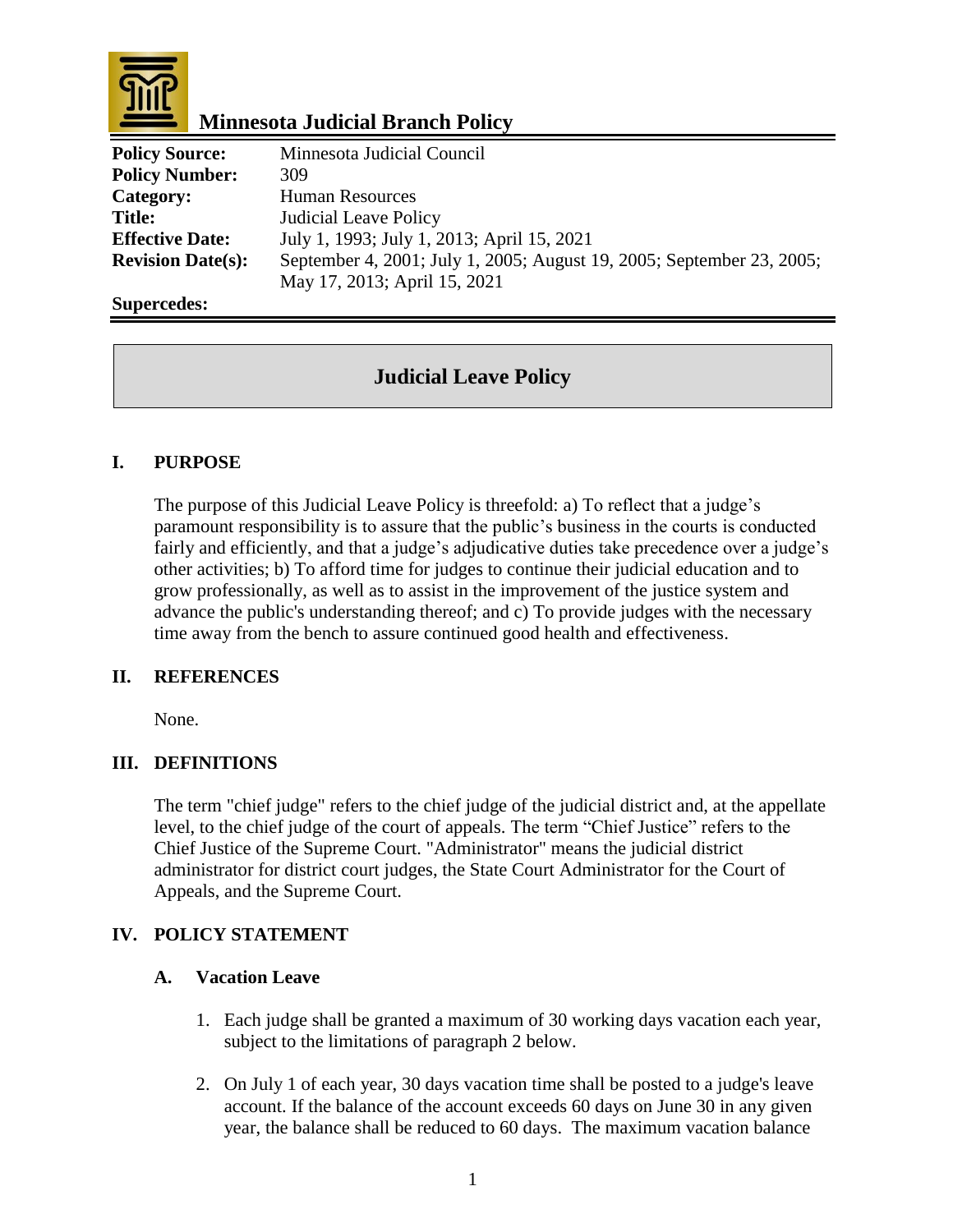

# **Minnesota Judicial Branch Policy**

| <b>Policy Source:</b>    | Minnesota Judicial Council                                            |
|--------------------------|-----------------------------------------------------------------------|
| <b>Policy Number:</b>    | 309                                                                   |
| Category:                | <b>Human Resources</b>                                                |
| <b>Title:</b>            | <b>Judicial Leave Policy</b>                                          |
| <b>Effective Date:</b>   | July 1, 1993; July 1, 2013; April 15, 2021                            |
| <b>Revision Date(s):</b> | September 4, 2001; July 1, 2005; August 19, 2005; September 23, 2005; |
|                          | May 17, 2013; April 15, 2021                                          |

### **Supercedes:**

# **Judicial Leave Policy**

# **I. PURPOSE**

The purpose of this Judicial Leave Policy is threefold: a) To reflect that a judge's paramount responsibility is to assure that the public's business in the courts is conducted fairly and efficiently, and that a judge's adjudicative duties take precedence over a judge's other activities; b) To afford time for judges to continue their judicial education and to grow professionally, as well as to assist in the improvement of the justice system and advance the public's understanding thereof; and c) To provide judges with the necessary time away from the bench to assure continued good health and effectiveness.

## **II. REFERENCES**

None.

## **III. DEFINITIONS**

The term "chief judge" refers to the chief judge of the judicial district and, at the appellate level, to the chief judge of the court of appeals. The term "Chief Justice" refers to the Chief Justice of the Supreme Court. "Administrator" means the judicial district administrator for district court judges, the State Court Administrator for the Court of Appeals, and the Supreme Court.

# **IV. POLICY STATEMENT**

## **A. Vacation Leave**

- 1. Each judge shall be granted a maximum of 30 working days vacation each year, subject to the limitations of paragraph 2 below.
- 2. On July 1 of each year, 30 days vacation time shall be posted to a judge's leave account. If the balance of the account exceeds 60 days on June 30 in any given year, the balance shall be reduced to 60 days. The maximum vacation balance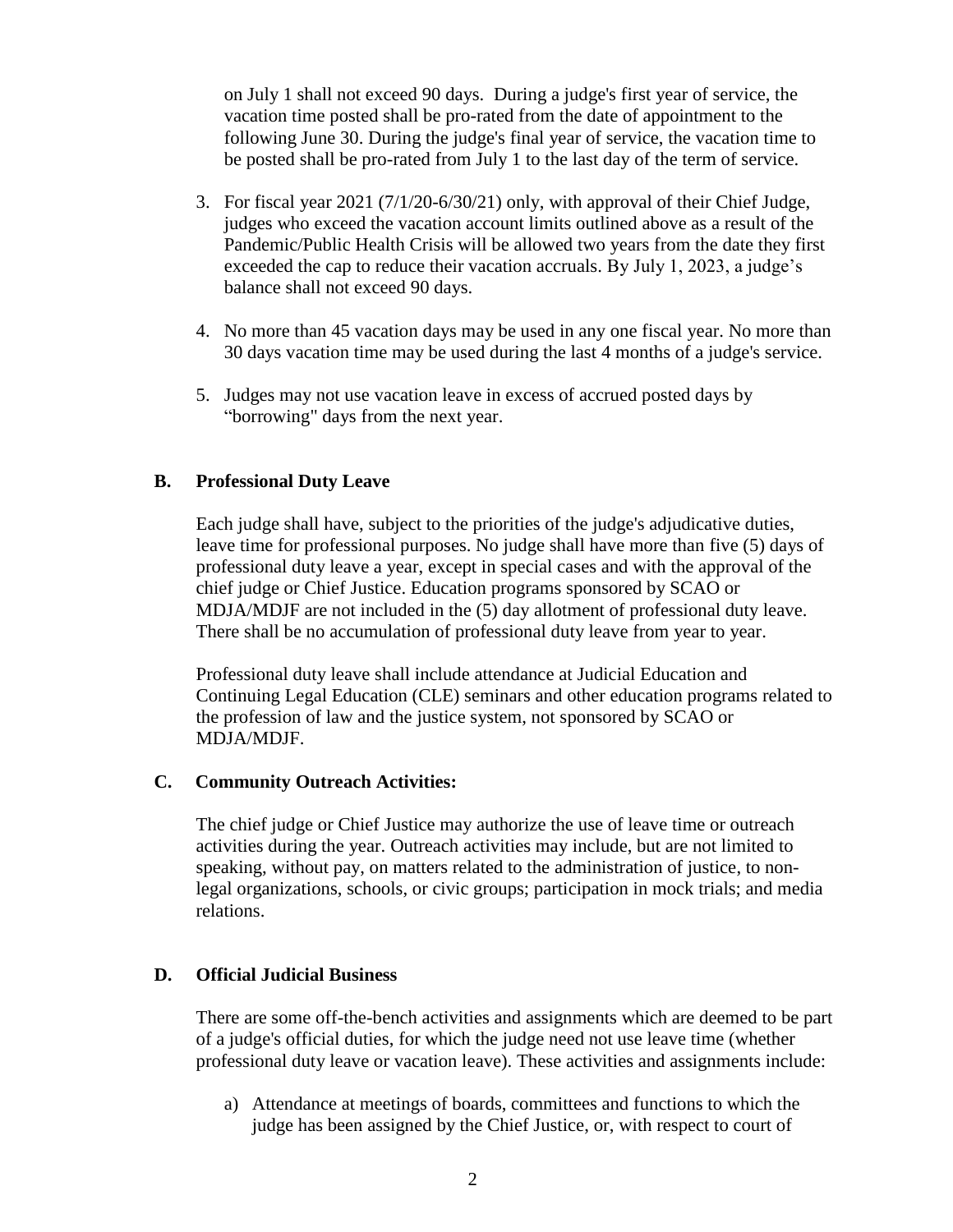on July 1 shall not exceed 90 days. During a judge's first year of service, the vacation time posted shall be pro-rated from the date of appointment to the following June 30. During the judge's final year of service, the vacation time to be posted shall be pro-rated from July 1 to the last day of the term of service.

- 3. For fiscal year 2021 (7/1/20-6/30/21) only, with approval of their Chief Judge, judges who exceed the vacation account limits outlined above as a result of the Pandemic/Public Health Crisis will be allowed two years from the date they first exceeded the cap to reduce their vacation accruals. By July 1, 2023, a judge's balance shall not exceed 90 days.
- 4. No more than 45 vacation days may be used in any one fiscal year. No more than 30 days vacation time may be used during the last 4 months of a judge's service.
- 5. Judges may not use vacation leave in excess of accrued posted days by "borrowing" days from the next year.

## **B. Professional Duty Leave**

Each judge shall have, subject to the priorities of the judge's adjudicative duties, leave time for professional purposes. No judge shall have more than five (5) days of professional duty leave a year, except in special cases and with the approval of the chief judge or Chief Justice. Education programs sponsored by SCAO or MDJA/MDJF are not included in the (5) day allotment of professional duty leave. There shall be no accumulation of professional duty leave from year to year.

Professional duty leave shall include attendance at Judicial Education and Continuing Legal Education (CLE) seminars and other education programs related to the profession of law and the justice system, not sponsored by SCAO or MDJA/MDJF.

#### **C. Community Outreach Activities:**

The chief judge or Chief Justice may authorize the use of leave time or outreach activities during the year. Outreach activities may include, but are not limited to speaking, without pay, on matters related to the administration of justice, to nonlegal organizations, schools, or civic groups; participation in mock trials; and media relations.

#### **D. Official Judicial Business**

There are some off-the-bench activities and assignments which are deemed to be part of a judge's official duties, for which the judge need not use leave time (whether professional duty leave or vacation leave). These activities and assignments include:

a) Attendance at meetings of boards, committees and functions to which the judge has been assigned by the Chief Justice, or, with respect to court of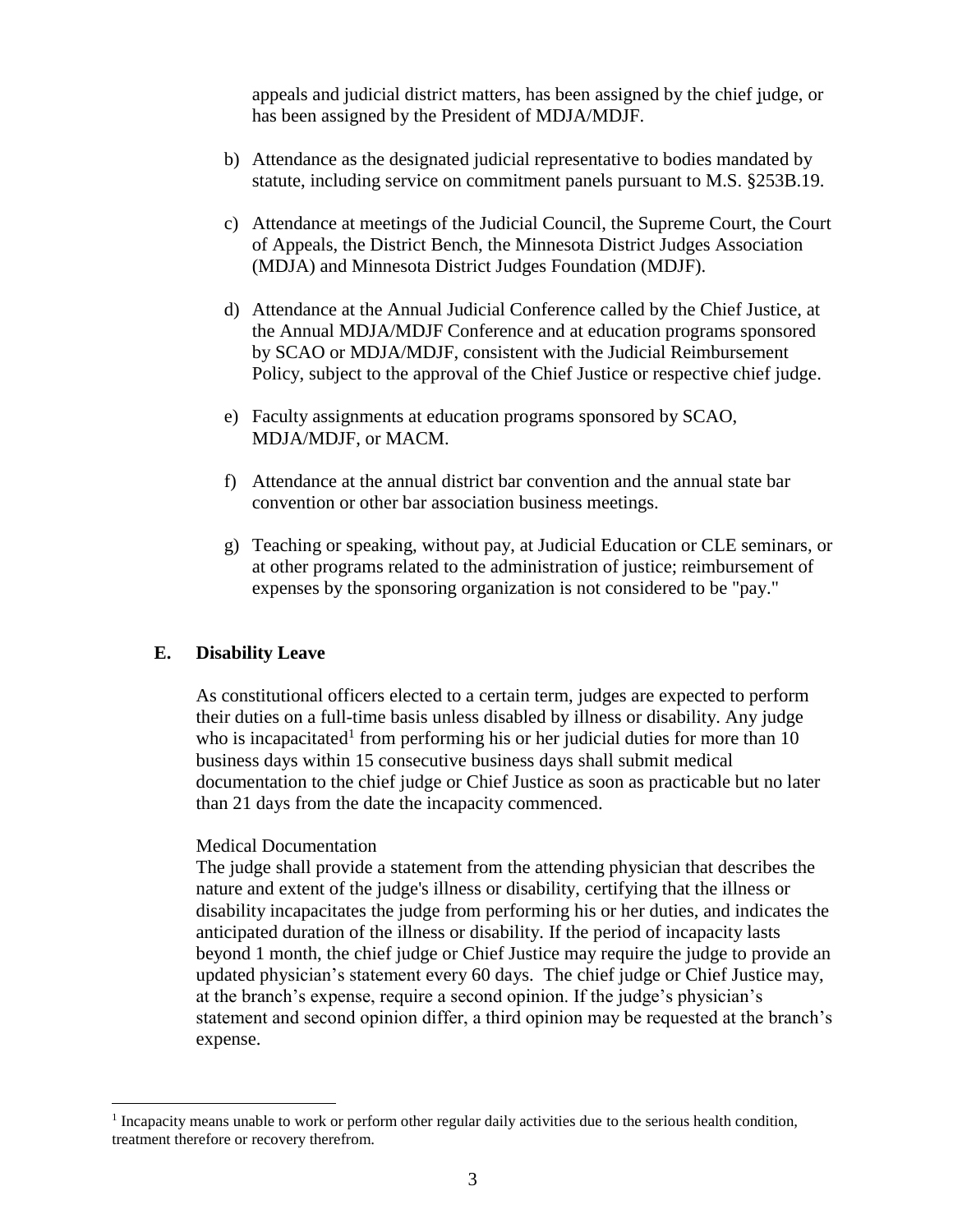appeals and judicial district matters, has been assigned by the chief judge, or has been assigned by the President of MDJA/MDJF.

- b) Attendance as the designated judicial representative to bodies mandated by statute, including service on commitment panels pursuant to M.S. §253B.19.
- c) Attendance at meetings of the Judicial Council, the Supreme Court, the Court of Appeals, the District Bench, the Minnesota District Judges Association (MDJA) and Minnesota District Judges Foundation (MDJF).
- d) Attendance at the Annual Judicial Conference called by the Chief Justice, at the Annual MDJA/MDJF Conference and at education programs sponsored by SCAO or MDJA/MDJF, consistent with the Judicial Reimbursement Policy, subject to the approval of the Chief Justice or respective chief judge.
- e) Faculty assignments at education programs sponsored by SCAO, MDJA/MDJF, or MACM.
- f) Attendance at the annual district bar convention and the annual state bar convention or other bar association business meetings.
- g) Teaching or speaking, without pay, at Judicial Education or CLE seminars, or at other programs related to the administration of justice; reimbursement of expenses by the sponsoring organization is not considered to be "pay."

## **E. Disability Leave**

 $\overline{a}$ 

As constitutional officers elected to a certain term, judges are expected to perform their duties on a full-time basis unless disabled by illness or disability. Any judge who is incapacitated<sup>1</sup> from performing his or her judicial duties for more than  $10$ business days within 15 consecutive business days shall submit medical documentation to the chief judge or Chief Justice as soon as practicable but no later than 21 days from the date the incapacity commenced.

#### Medical Documentation

The judge shall provide a statement from the attending physician that describes the nature and extent of the judge's illness or disability, certifying that the illness or disability incapacitates the judge from performing his or her duties, and indicates the anticipated duration of the illness or disability. If the period of incapacity lasts beyond 1 month, the chief judge or Chief Justice may require the judge to provide an updated physician's statement every 60 days. The chief judge or Chief Justice may, at the branch's expense, require a second opinion. If the judge's physician's statement and second opinion differ, a third opinion may be requested at the branch's expense.

<sup>&</sup>lt;sup>1</sup> Incapacity means unable to work or perform other regular daily activities due to the serious health condition, treatment therefore or recovery therefrom.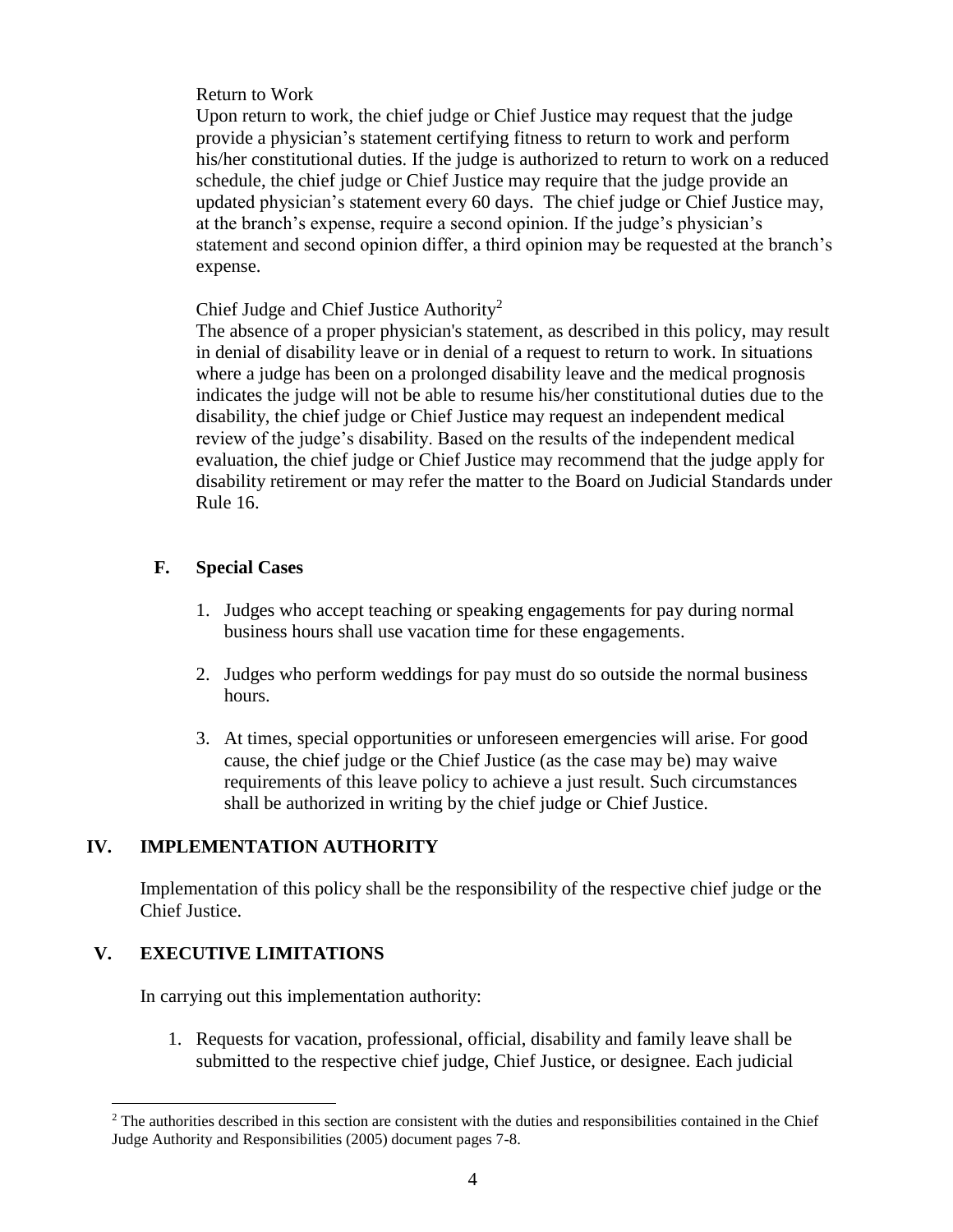## Return to Work

Upon return to work, the chief judge or Chief Justice may request that the judge provide a physician's statement certifying fitness to return to work and perform his/her constitutional duties. If the judge is authorized to return to work on a reduced schedule, the chief judge or Chief Justice may require that the judge provide an updated physician's statement every 60 days. The chief judge or Chief Justice may, at the branch's expense, require a second opinion. If the judge's physician's statement and second opinion differ, a third opinion may be requested at the branch's expense.

# Chief Judge and Chief Justice Authority<sup>2</sup>

The absence of a proper physician's statement, as described in this policy, may result in denial of disability leave or in denial of a request to return to work. In situations where a judge has been on a prolonged disability leave and the medical prognosis indicates the judge will not be able to resume his/her constitutional duties due to the disability, the chief judge or Chief Justice may request an independent medical review of the judge's disability. Based on the results of the independent medical evaluation, the chief judge or Chief Justice may recommend that the judge apply for disability retirement or may refer the matter to the Board on Judicial Standards under Rule 16.

# **F. Special Cases**

- 1. Judges who accept teaching or speaking engagements for pay during normal business hours shall use vacation time for these engagements.
- 2. Judges who perform weddings for pay must do so outside the normal business hours.
- 3. At times, special opportunities or unforeseen emergencies will arise. For good cause, the chief judge or the Chief Justice (as the case may be) may waive requirements of this leave policy to achieve a just result. Such circumstances shall be authorized in writing by the chief judge or Chief Justice.

# **IV. IMPLEMENTATION AUTHORITY**

Implementation of this policy shall be the responsibility of the respective chief judge or the Chief Justice.

# **V. EXECUTIVE LIMITATIONS**

In carrying out this implementation authority:

1. Requests for vacation, professional, official, disability and family leave shall be submitted to the respective chief judge, Chief Justice, or designee. Each judicial

 $\overline{a}$  $2$  The authorities described in this section are consistent with the duties and responsibilities contained in the Chief Judge Authority and Responsibilities (2005) document pages 7-8.